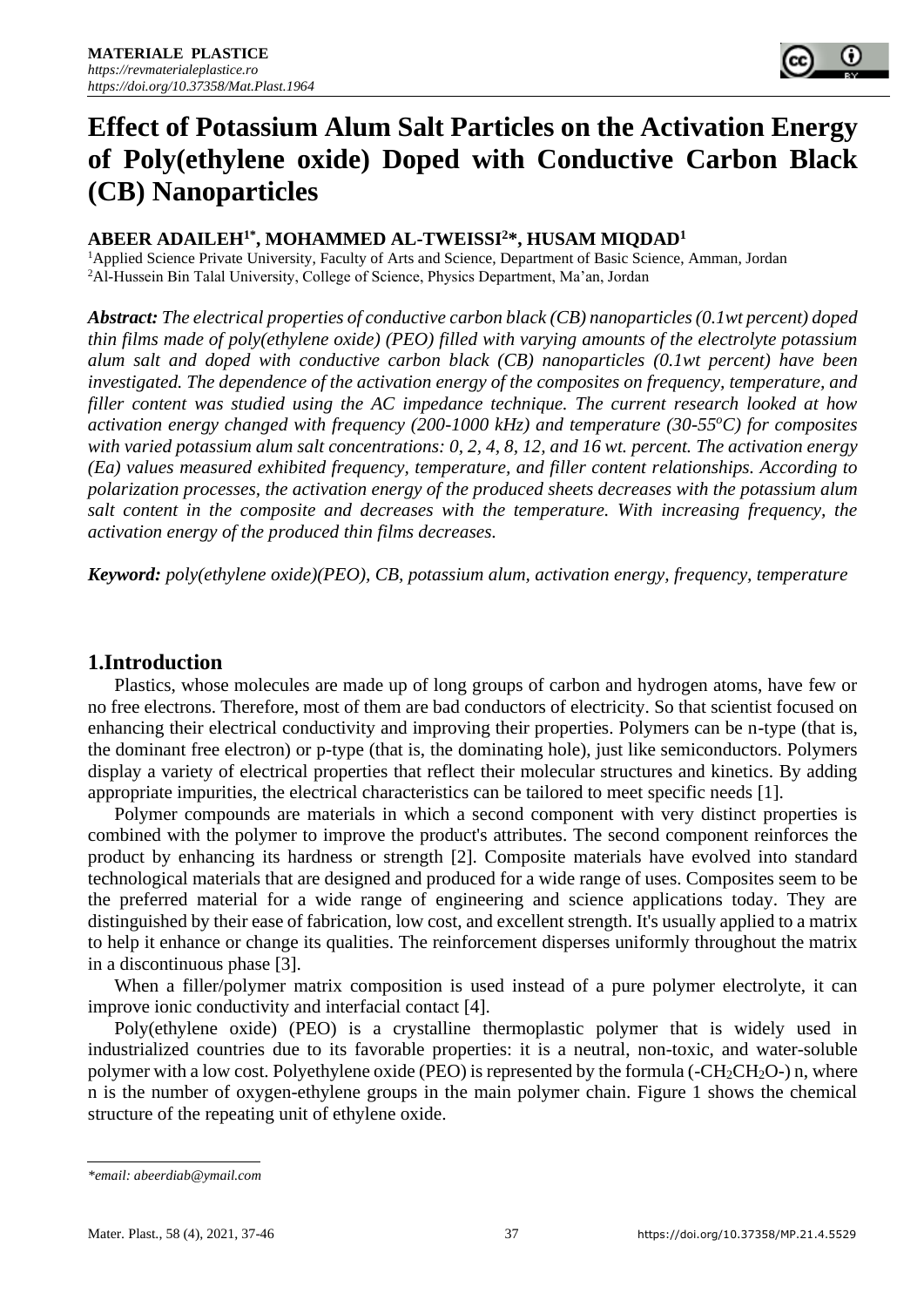

# **Effect of Potassium Alum Salt Particles on the Activation Energy of Poly(ethylene oxide) Doped with Conductive Carbon Black (CB) Nanoparticles**

# **ABEER ADAILEH1\*, MOHAMMED AL-TWEISSI<sup>2</sup>\*, HUSAM MIQDAD<sup>1</sup>**

<sup>1</sup>Applied Science Private University, Faculty of Arts and Science, Department of Basic Science, Amman, Jordan <sup>2</sup>Al-Hussein Bin Talal University, College of Science, Physics Department, Ma'an, Jordan

*Abstract: The electrical properties of conductive carbon black (CB) nanoparticles (0.1wt percent) doped thin films made of poly(ethylene oxide) (PEO) filled with varying amounts of the electrolyte potassium alum salt and doped with conductive carbon black (CB) nanoparticles (0.1wt percent) have been investigated. The dependence of the activation energy of the composites on frequency, temperature, and filler content was studied using the AC impedance technique. The current research looked at how activation energy changed with frequency (200-1000 kHz) and temperature (30-55<sup>o</sup>C) for composites with varied potassium alum salt concentrations: 0, 2, 4, 8, 12, and 16 wt. percent. The activation energy (Ea) values measured exhibited frequency, temperature, and filler content relationships. According to polarization processes, the activation energy of the produced sheets decreases with the potassium alum salt content in the composite and decreases with the temperature. With increasing frequency, the activation energy of the produced thin films decreases.*

*Keyword: poly(ethylene oxide)(PEO), CB, potassium alum, activation energy, frequency, temperature*

# **1.Introduction**

Plastics, whose molecules are made up of long groups of carbon and hydrogen atoms, have few or no free electrons. Therefore, most of them are bad conductors of electricity. So that scientist focused on enhancing their electrical conductivity and improving their properties. Polymers can be n-type (that is, the dominant free electron) or p-type (that is, the dominating hole), just like semiconductors. Polymers display a variety of electrical properties that reflect their molecular structures and kinetics. By adding appropriate impurities, the electrical characteristics can be tailored to meet specific needs [1].

Polymer compounds are materials in which a second component with very distinct properties is combined with the polymer to improve the product's attributes. The second component reinforces the product by enhancing its hardness or strength [2]. Composite materials have evolved into standard technological materials that are designed and produced for a wide range of uses. Composites seem to be the preferred material for a wide range of engineering and science applications today. They are distinguished by their ease of fabrication, low cost, and excellent strength. It's usually applied to a matrix to help it enhance or change its qualities. The reinforcement disperses uniformly throughout the matrix in a discontinuous phase [3].

When a filler/polymer matrix composition is used instead of a pure polymer electrolyte, it can improve ionic conductivity and interfacial contact [4].

Poly(ethylene oxide) (PEO) is a crystalline thermoplastic polymer that is widely used in industrialized countries due to its favorable properties: it is a neutral, non-toxic, and water-soluble polymer with a low cost. Polyethylene oxide (PEO) is represented by the formula ( $-CH_2CH_2O$ ) n, where n is the number of oxygen-ethylene groups in the main polymer chain. Figure 1 shows the chemical structure of the repeating unit of ethylene oxide.

*<sup>\*</sup>email[: abeerdiab@ymail.com](mailto:abeerdiab@ymail.com)*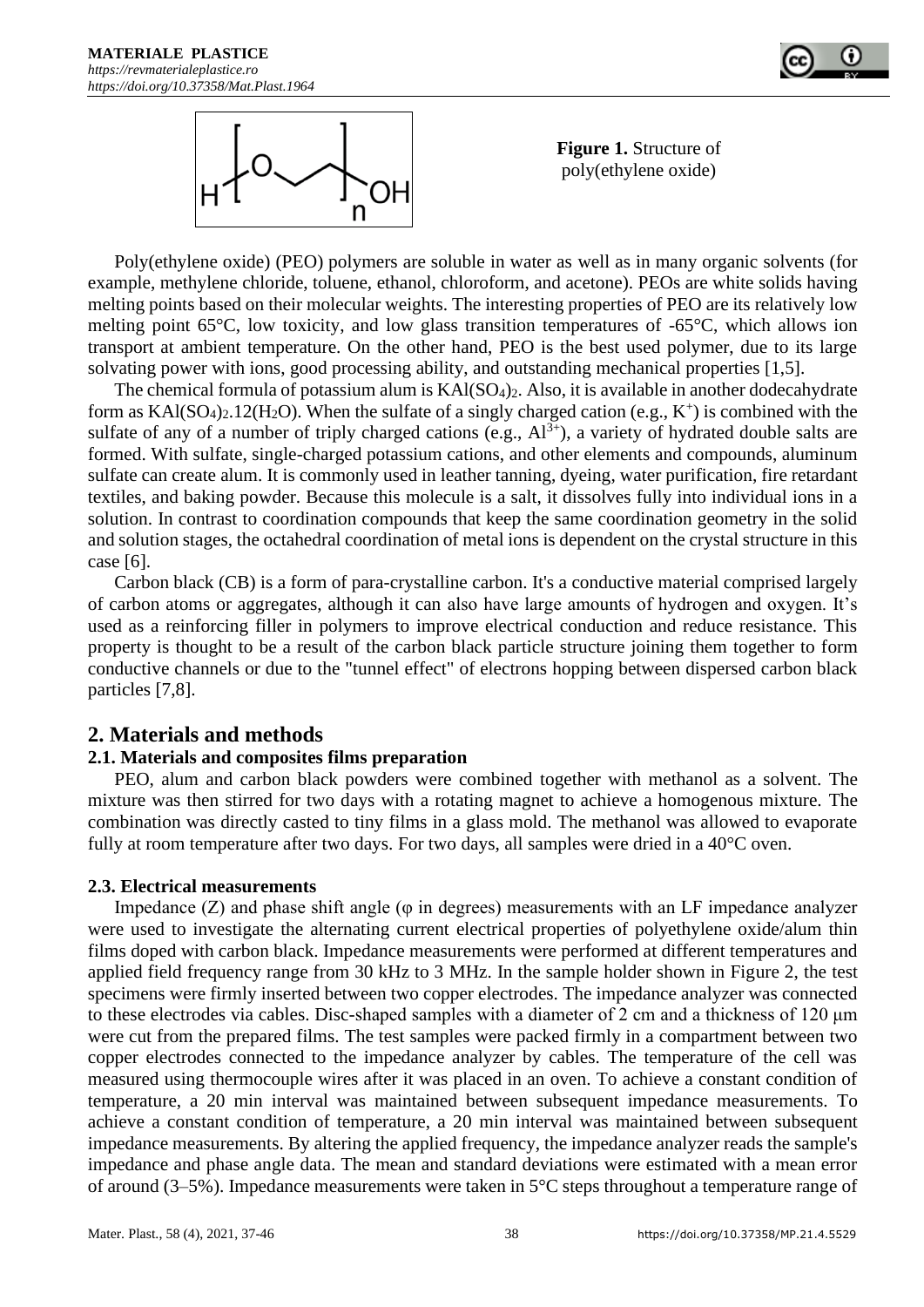



**Figure 1.** Structure of poly(ethylene oxide)

Poly(ethylene oxide) (PEO) polymers are soluble in water as well as in many organic solvents (for example, methylene chloride, toluene, ethanol, chloroform, and acetone). PEOs are white solids having melting points based on their molecular weights. The interesting properties of PEO are its relatively low melting point 65°C, low toxicity, and low glass transition temperatures of -65°C, which allows ion transport at ambient temperature. On the other hand, PEO is the best used polymer, due to its large solvating power with ions, good processing ability, and outstanding mechanical properties [1,5].

The chemical formula of potassium alum is KAl(SO<sub>4</sub>)<sub>2</sub>. Also, it is available in another dodecahydrate form as  $KAI(SO<sub>4</sub>)<sub>2</sub>$ . 12(H<sub>2</sub>O). When the sulfate of a singly charged cation (e.g.,  $K<sup>+</sup>$ ) is combined with the sulfate of any of a number of triply charged cations (e.g.,  $Al^{3+}$ ), a variety of hydrated double salts are formed. With sulfate, single-charged potassium cations, and other elements and compounds, aluminum sulfate can create alum. It is commonly used in leather tanning, dyeing, water purification, fire retardant textiles, and baking powder. Because this molecule is a salt, it dissolves fully into individual ions in a solution. In contrast to coordination compounds that keep the same coordination geometry in the solid and solution stages, the octahedral coordination of metal ions is dependent on the crystal structure in this case [6].

Carbon black (CB) is a form of para-crystalline carbon. It's a conductive material comprised largely of carbon atoms or aggregates, although it can also have large amounts of hydrogen and oxygen. It's used as a reinforcing filler in polymers to improve electrical conduction and reduce resistance. This property is thought to be a result of the carbon black particle structure joining them together to form conductive channels or due to the "tunnel effect" of electrons hopping between dispersed carbon black particles [7,8].

# **2. Materials and methods**

# **2.1. Materials and composites films preparation**

PEO, alum and carbon black powders were combined together with methanol as a solvent. The mixture was then stirred for two days with a rotating magnet to achieve a homogenous mixture. The combination was directly casted to tiny films in a glass mold. The methanol was allowed to evaporate fully at room temperature after two days. For two days, all samples were dried in a 40°C oven.

#### **2.3. Electrical measurements**

Impedance  $(Z)$  and phase shift angle ( $\varphi$  in degrees) measurements with an LF impedance analyzer were used to investigate the alternating current electrical properties of polyethylene oxide/alum thin films doped with carbon black. Impedance measurements were performed at different temperatures and applied field frequency range from 30 kHz to 3 MHz. In the sample holder shown in Figure 2, the test specimens were firmly inserted between two copper electrodes. The impedance analyzer was connected to these electrodes via cables. Disc-shaped samples with a diameter of 2 cm and a thickness of 120 μm were cut from the prepared films. The test samples were packed firmly in a compartment between two copper electrodes connected to the impedance analyzer by cables. The temperature of the cell was measured using thermocouple wires after it was placed in an oven. To achieve a constant condition of temperature, a 20 min interval was maintained between subsequent impedance measurements. To achieve a constant condition of temperature, a 20 min interval was maintained between subsequent impedance measurements. By altering the applied frequency, the impedance analyzer reads the sample's impedance and phase angle data. The mean and standard deviations were estimated with a mean error of around (3–5%). Impedance measurements were taken in 5°C steps throughout a temperature range of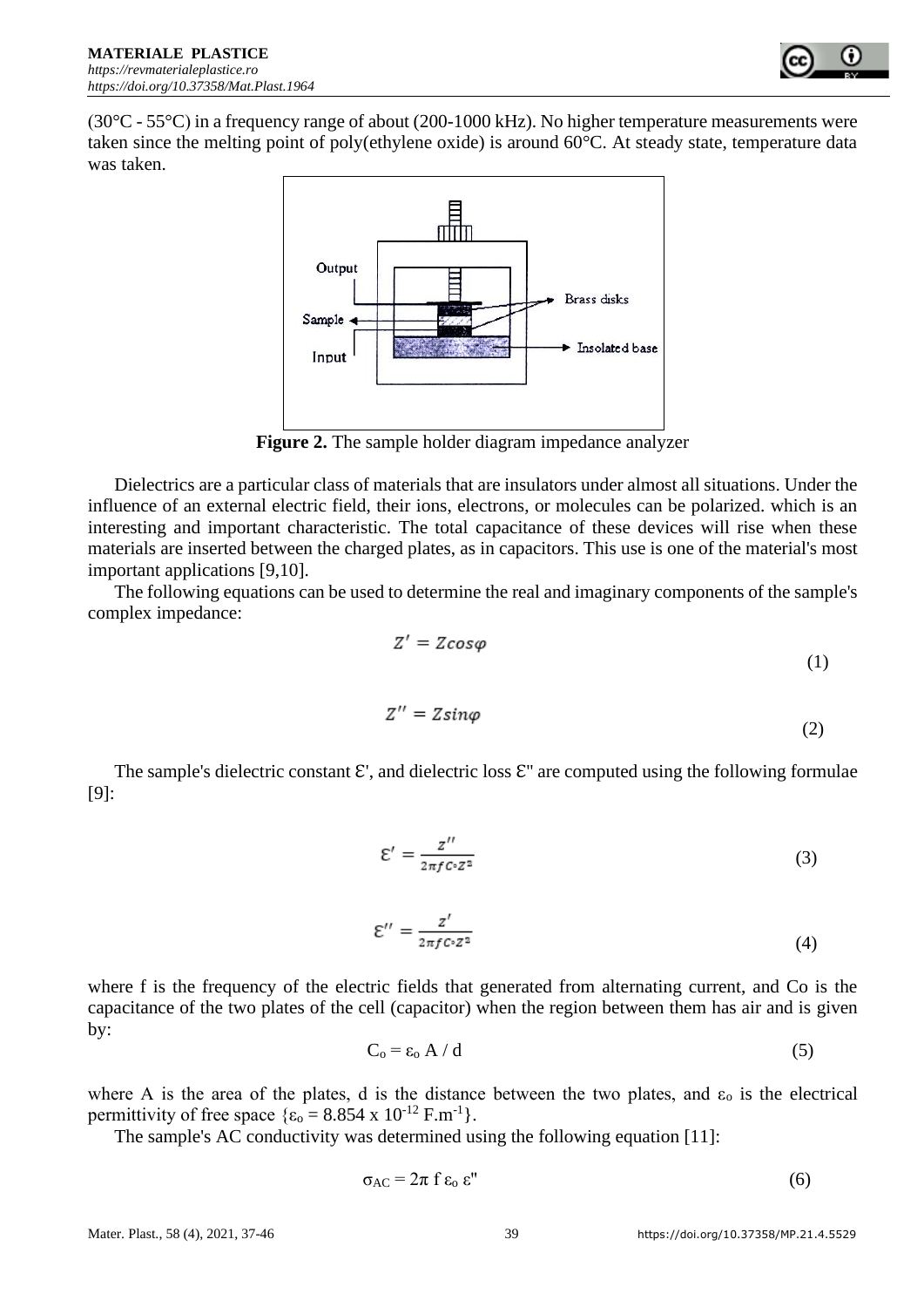

 $(30^{\circ}C - 55^{\circ}C)$  in a frequency range of about (200-1000 kHz). No higher temperature measurements were taken since the melting point of poly(ethylene oxide) is around 60°C. At steady state, temperature data was taken.



**Figure 2.** The sample holder diagram impedance analyzer

Dielectrics are a particular class of materials that are insulators under almost all situations. Under the influence of an external electric field, their ions, electrons, or molecules can be polarized. which is an interesting and important characteristic. The total capacitance of these devices will rise when these materials are inserted between the charged plates, as in capacitors. This use is one of the material's most important applications [9,10].

The following equations can be used to determine the real and imaginary components of the sample's complex impedance:

$$
Z' = Z\cos\varphi\tag{1}
$$

$$
Z'' = Z\sin\varphi\tag{2}
$$

The sample's dielectric constant  $\mathcal{E}'$ , and dielectric loss  $\mathcal{E}''$  are computed using the following formulae [9]:

$$
\mathcal{E}' = \frac{z''}{2\pi f c \cdot z^2} \tag{3}
$$

$$
\mathcal{E}^{\prime\prime} = \frac{z^{\prime}}{2\pi f C \cdot Z^2} \tag{4}
$$

where f is the frequency of the electric fields that generated from alternating current, and Co is the capacitance of the two plates of the cell (capacitor) when the region between them has air and is given by:

$$
C_0 = \varepsilon_0 A / d \tag{5}
$$

where A is the area of the plates, d is the distance between the two plates, and  $\varepsilon_0$  is the electrical permittivity of free space  $\{\epsilon_0 = 8.854 \times 10^{-12} \text{ F.m}^{-1}\}.$ 

The sample's AC conductivity was determined using the following equation [11]:

$$
\sigma_{AC} = 2\pi f \varepsilon_0 \varepsilon''
$$
 (6)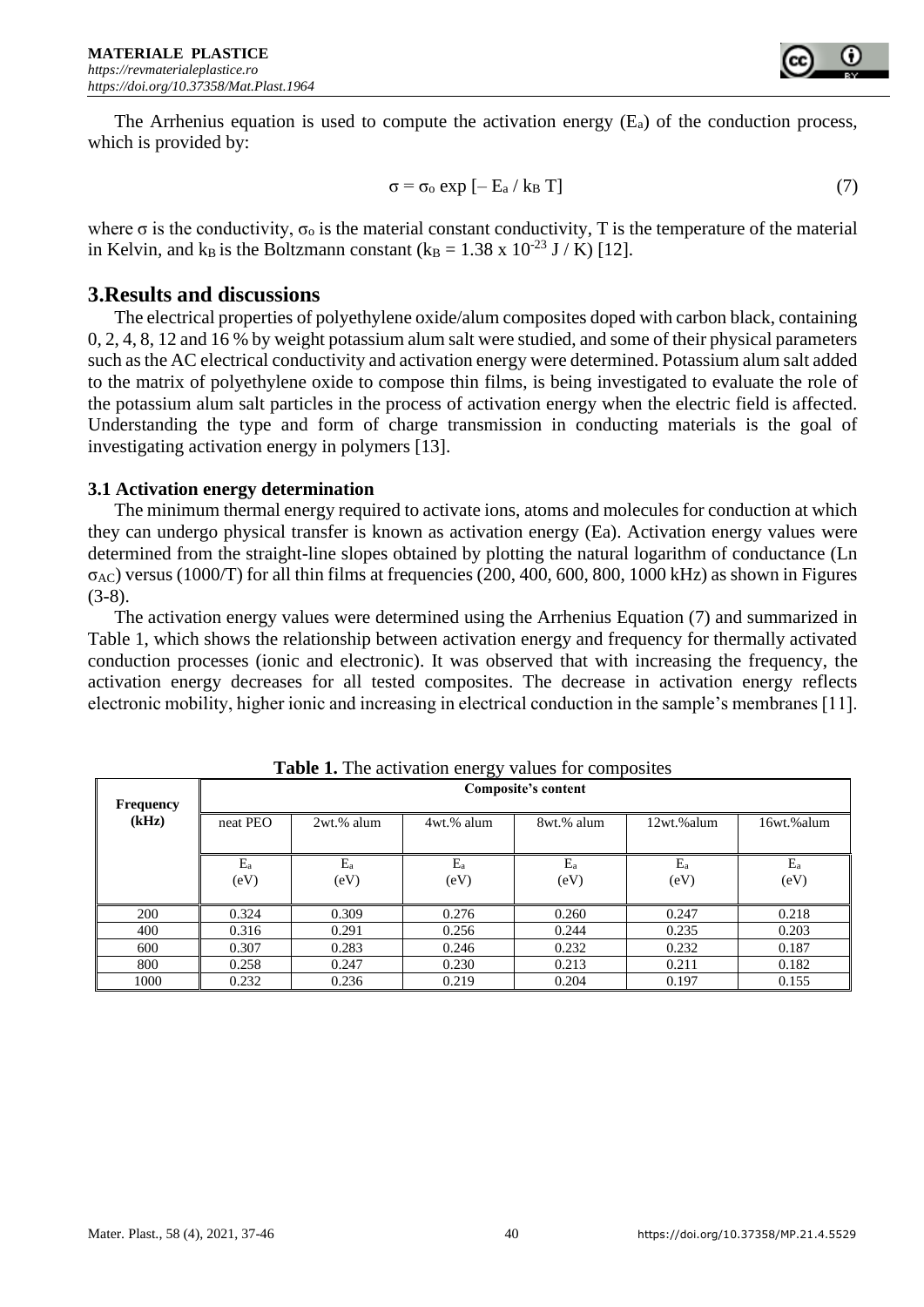The Arrhenius equation is used to compute the activation energy  $(E_a)$  of the conduction process, which is provided by:

$$
\sigma = \sigma_o \exp\left[-\mathbf{E}_a / k_B \mathbf{T}\right] \tag{7}
$$

where  $\sigma$  is the conductivity,  $\sigma_0$  is the material constant conductivity, T is the temperature of the material in Kelvin, and k<sub>B</sub> is the Boltzmann constant (k<sub>B</sub> = 1.38 x 10<sup>-23</sup> J / K) [12].

# **3.Results and discussions**

The electrical properties of polyethylene oxide/alum composites doped with carbon black, containing 0, 2, 4, 8, 12 and 16 % by weight potassium alum salt were studied, and some of their physical parameters such as the AC electrical conductivity and activation energy were determined. Potassium alum salt added to the matrix of polyethylene oxide to compose thin films, is being investigated to evaluate the role of the potassium alum salt particles in the process of activation energy when the electric field is affected. Understanding the type and form of charge transmission in conducting materials is the goal of investigating activation energy in polymers [13].

#### **3.1 Activation energy determination**

The minimum thermal energy required to activate ions, atoms and molecules for conduction at which they can undergo physical transfer is known as activation energy (Ea). Activation energy values were determined from the straight-line slopes obtained by plotting the natural logarithm of conductance (Ln  $\sigma_{AC}$ ) versus (1000/T) for all thin films at frequencies (200, 400, 600, 800, 1000 kHz) as shown in Figures  $(3-8)$ .

The activation energy values were determined using the Arrhenius Equation (7) and summarized in Table 1, which shows the relationship between activation energy and frequency for thermally activated conduction processes (ionic and electronic). It was observed that with increasing the frequency, the activation energy decreases for all tested composites. The decrease in activation energy reflects electronic mobility, higher ionic and increasing in electrical conduction in the sample's membranes [11].

| $\frac{1}{2}$<br>$\cdots$ where $\cdots$ is a contract of $\cdots$ |                     |            |            |            |            |            |
|--------------------------------------------------------------------|---------------------|------------|------------|------------|------------|------------|
| Frequency                                                          | Composite's content |            |            |            |            |            |
| (kHz)                                                              | neat PEO            | 2wt.% alum | 4wt.% alum | 8wt.% alum | 12wt.%alum | 16wt.%alum |
|                                                                    | $E_a$               | $E_a$      | $E_a$      | $E_a$      | $E_a$      | $E_a$      |
|                                                                    | (eV)                | (eV)       | (eV)       | (eV)       | (eV)       | (eV)       |
| 200                                                                | 0.324               | 0.309      | 0.276      | 0.260      | 0.247      | 0.218      |
| 400                                                                | 0.316               | 0.291      | 0.256      | 0.244      | 0.235      | 0.203      |
| 600                                                                | 0.307               | 0.283      | 0.246      | 0.232      | 0.232      | 0.187      |
| 800                                                                | 0.258               | 0.247      | 0.230      | 0.213      | 0.211      | 0.182      |
| 1000                                                               | 0.232               | 0.236      | 0.219      | 0.204      | 0.197      | 0.155      |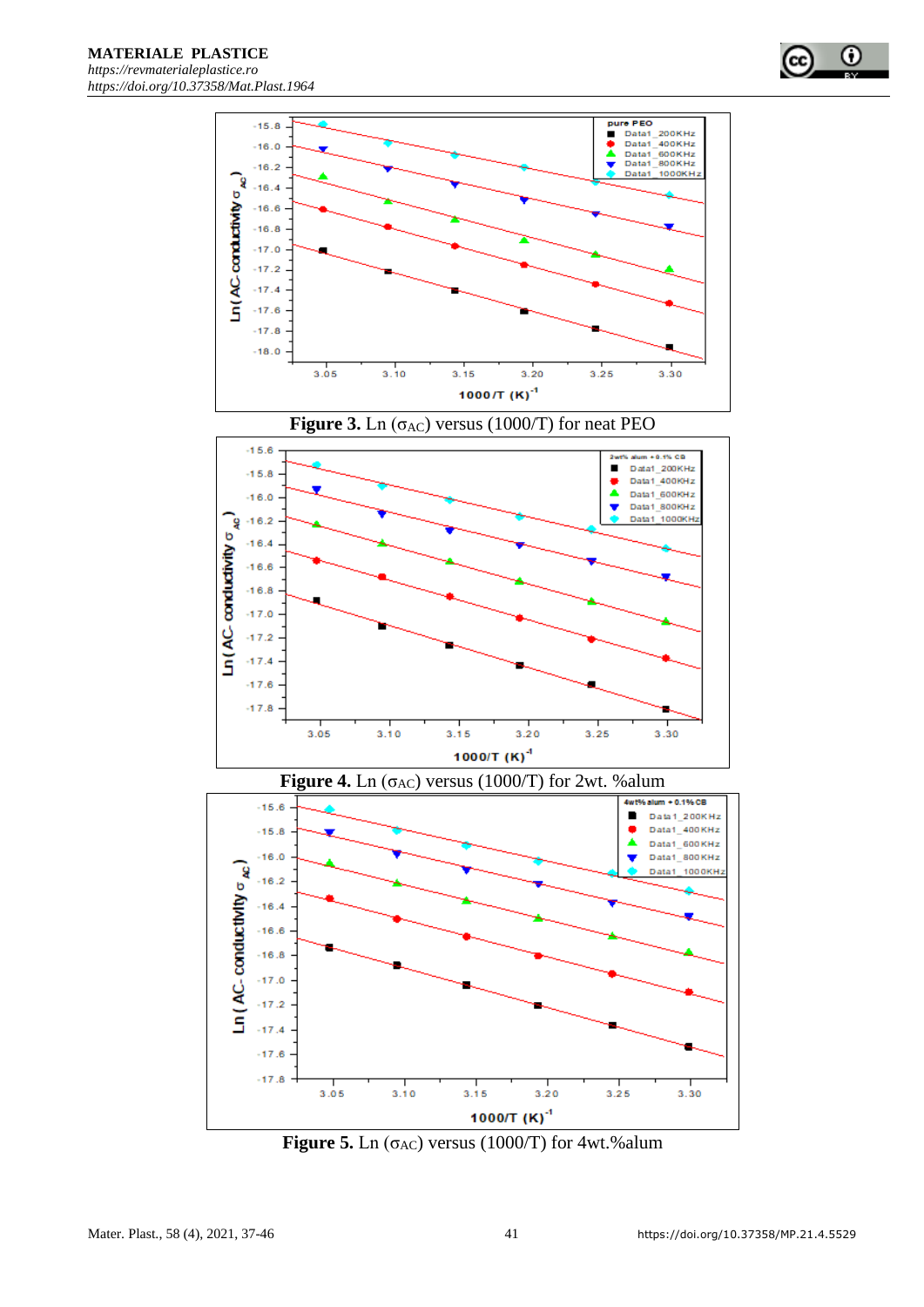











**Figure 5.** Ln ( $\sigma$ <sub>AC</sub>) versus (1000/T) for 4wt.%alum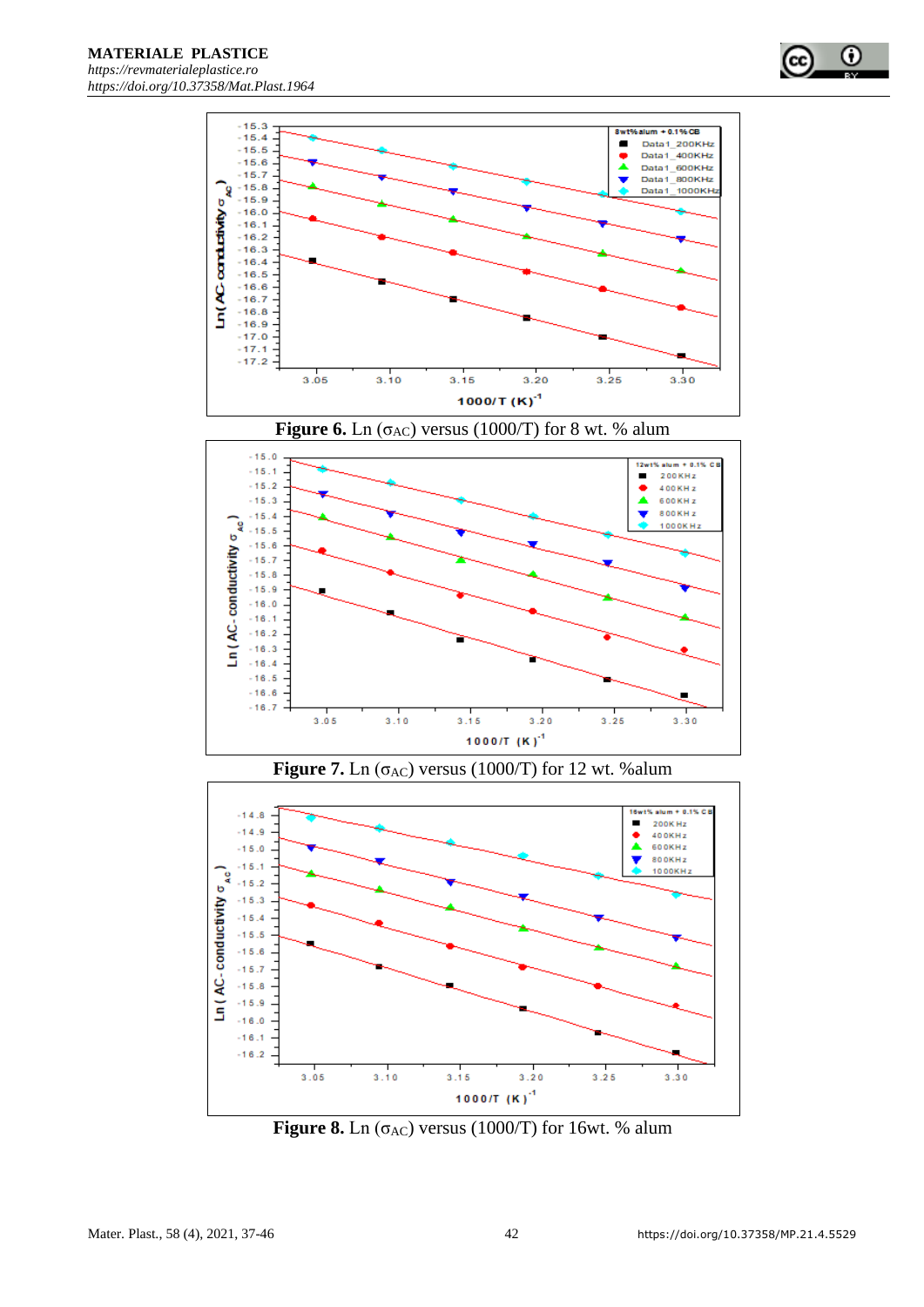









**Figure 8.** Ln  $(\sigma_{AC})$  versus (1000/T) for 16wt. % alum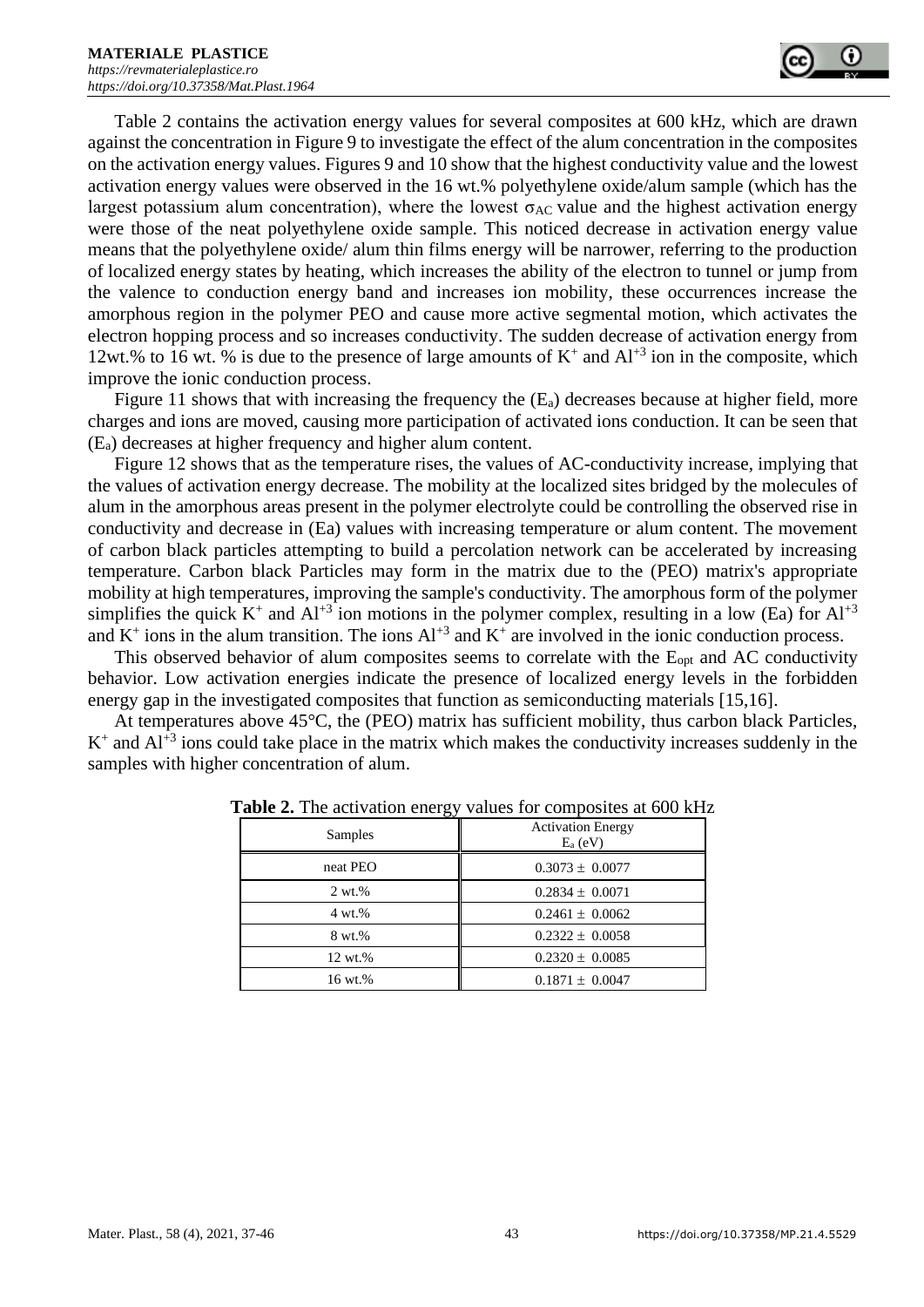

Table 2 contains the activation energy values for several composites at 600 kHz, which are drawn against the concentration in Figure 9 to investigate the effect of the alum concentration in the composites on the activation energy values. Figures 9 and 10 show that the highest conductivity value and the lowest activation energy values were observed in the 16 wt.% polyethylene oxide/alum sample (which has the largest potassium alum concentration), where the lowest  $\sigma_{AC}$  value and the highest activation energy were those of the neat polyethylene oxide sample. This noticed decrease in activation energy value means that the polyethylene oxide/ alum thin films energy will be narrower, referring to the production of localized energy states by heating, which increases the ability of the electron to tunnel or jump from the valence to conduction energy band and increases ion mobility, these occurrences increase the amorphous region in the polymer PEO and cause more active segmental motion, which activates the electron hopping process and so increases conductivity. The sudden decrease of activation energy from 12wt.% to 16 wt. % is due to the presence of large amounts of  $K^+$  and  $Al^{+3}$  ion in the composite, which improve the ionic conduction process.

Figure 11 shows that with increasing the frequency the  $(E_a)$  decreases because at higher field, more charges and ions are moved, causing more participation of activated ions conduction. It can be seen that (Ea) decreases at higher frequency and higher alum content.

Figure 12 shows that as the temperature rises, the values of AC-conductivity increase, implying that the values of activation energy decrease. The mobility at the localized sites bridged by the molecules of alum in the amorphous areas present in the polymer electrolyte could be controlling the observed rise in conductivity and decrease in (Ea) values with increasing temperature or alum content. The movement of carbon black particles attempting to build a percolation network can be accelerated by increasing temperature. Carbon black Particles may form in the matrix due to the (PEO) matrix's appropriate mobility at high temperatures, improving the sample's conductivity. The amorphous form of the polymer simplifies the quick  $K^+$  and  $Al^{+3}$  ion motions in the polymer complex, resulting in a low (Ea) for  $Al^{+3}$ and  $K^+$  ions in the alum transition. The ions  $Al^{+3}$  and  $K^+$  are involved in the ionic conduction process.

This observed behavior of alum composites seems to correlate with the E<sub>opt</sub> and AC conductivity behavior. Low activation energies indicate the presence of localized energy levels in the forbidden energy gap in the investigated composites that function as semiconducting materials [15,16].

At temperatures above 45°C, the (PEO) matrix has sufficient mobility, thus carbon black Particles,  $K^+$  and  $Al^{+3}$  ions could take place in the matrix which makes the conductivity increases suddenly in the samples with higher concentration of alum.

| Samples   | <b>Activation Energy</b><br>$E_a$ (eV) |  |  |
|-----------|----------------------------------------|--|--|
| neat PEO  | $0.3073 \pm 0.0077$                    |  |  |
| $2 wt.$ % | $0.2834 \pm 0.0071$                    |  |  |
| 4 wt.%    | $0.2461 \pm 0.0062$                    |  |  |
| 8 wt.%    | $0.2322 \pm 0.0058$                    |  |  |
| 12 wt.%   | $0.2320 \pm 0.0085$                    |  |  |
| 16 wt.%   | $0.1871 \pm 0.0047$                    |  |  |

**Table 2.** The activation energy values for composites at 600 kHz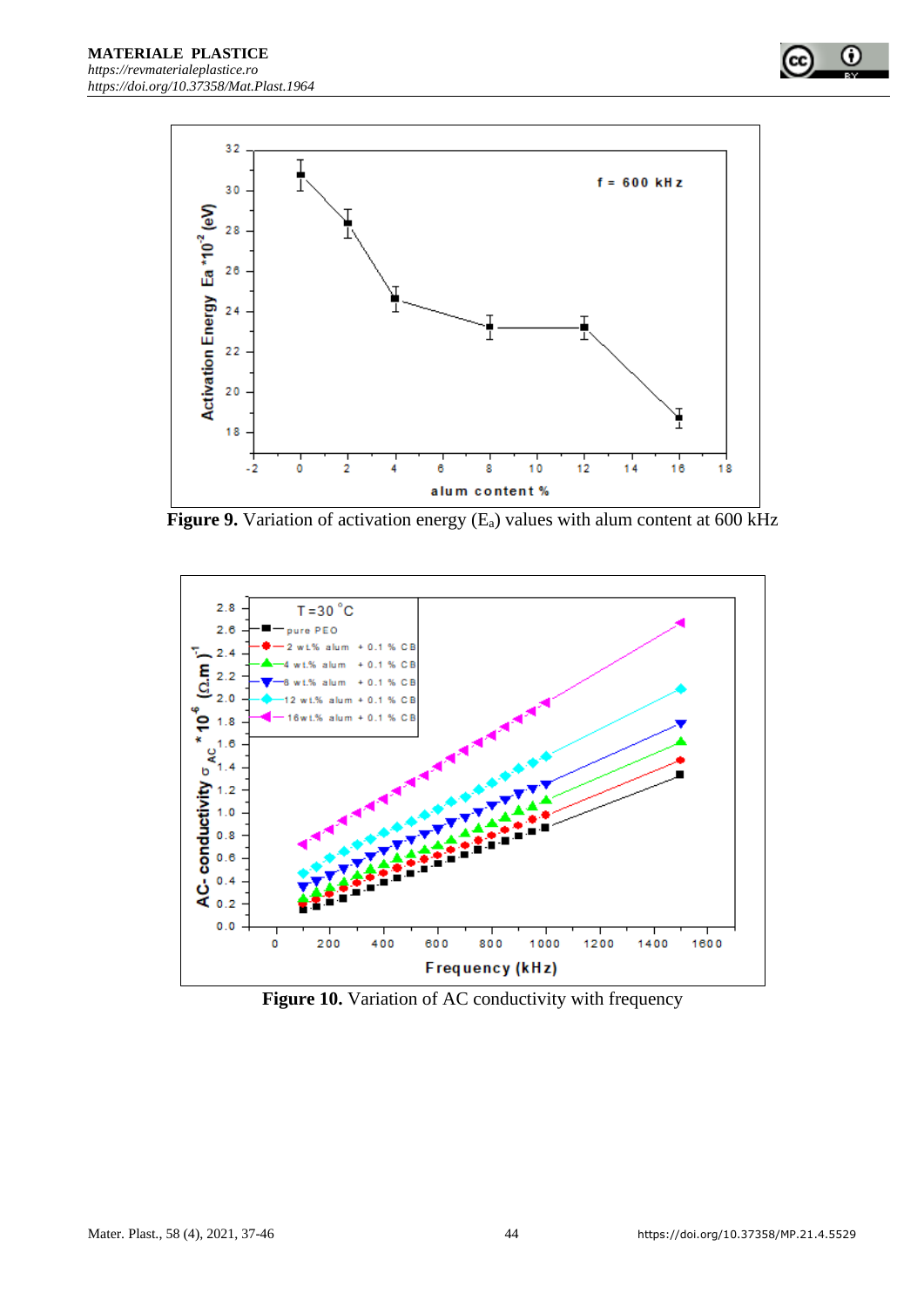

**Figure 9.** Variation of activation energy (E<sub>a</sub>) values with alum content at 600 kHz



Figure 10. Variation of AC conductivity with frequency

 $\bf \omega$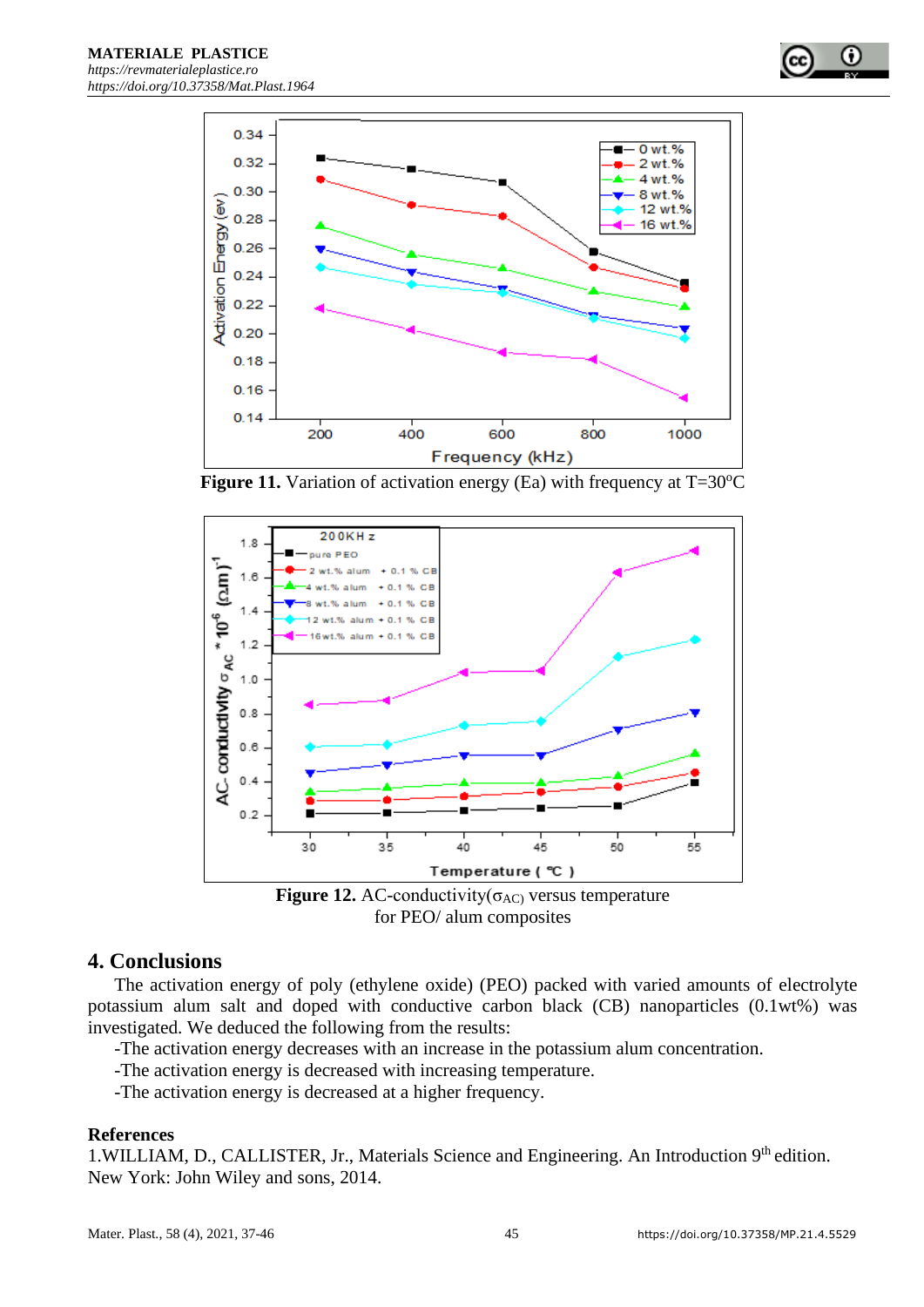



**Figure 11.** Variation of activation energy (Ea) with frequency at  $T=30^{\circ}C$ 



**Figure 12.** AC-conductivity( $\sigma_{AC}$ ) versus temperature for PEO/ alum composites

# **4. Conclusions**

The activation energy of poly (ethylene oxide) (PEO) packed with varied amounts of electrolyte potassium alum salt and doped with conductive carbon black (CB) nanoparticles (0.1wt%) was investigated. We deduced the following from the results:

- -The activation energy decreases with an increase in the potassium alum concentration.
- -The activation energy is decreased with increasing temperature.
- -The activation energy is decreased at a higher frequency.

#### **References**

1.WILLIAM, D., CALLISTER, Jr., Materials Science and Engineering. An Introduction 9<sup>th</sup> edition. New York: John Wiley and sons, 2014.